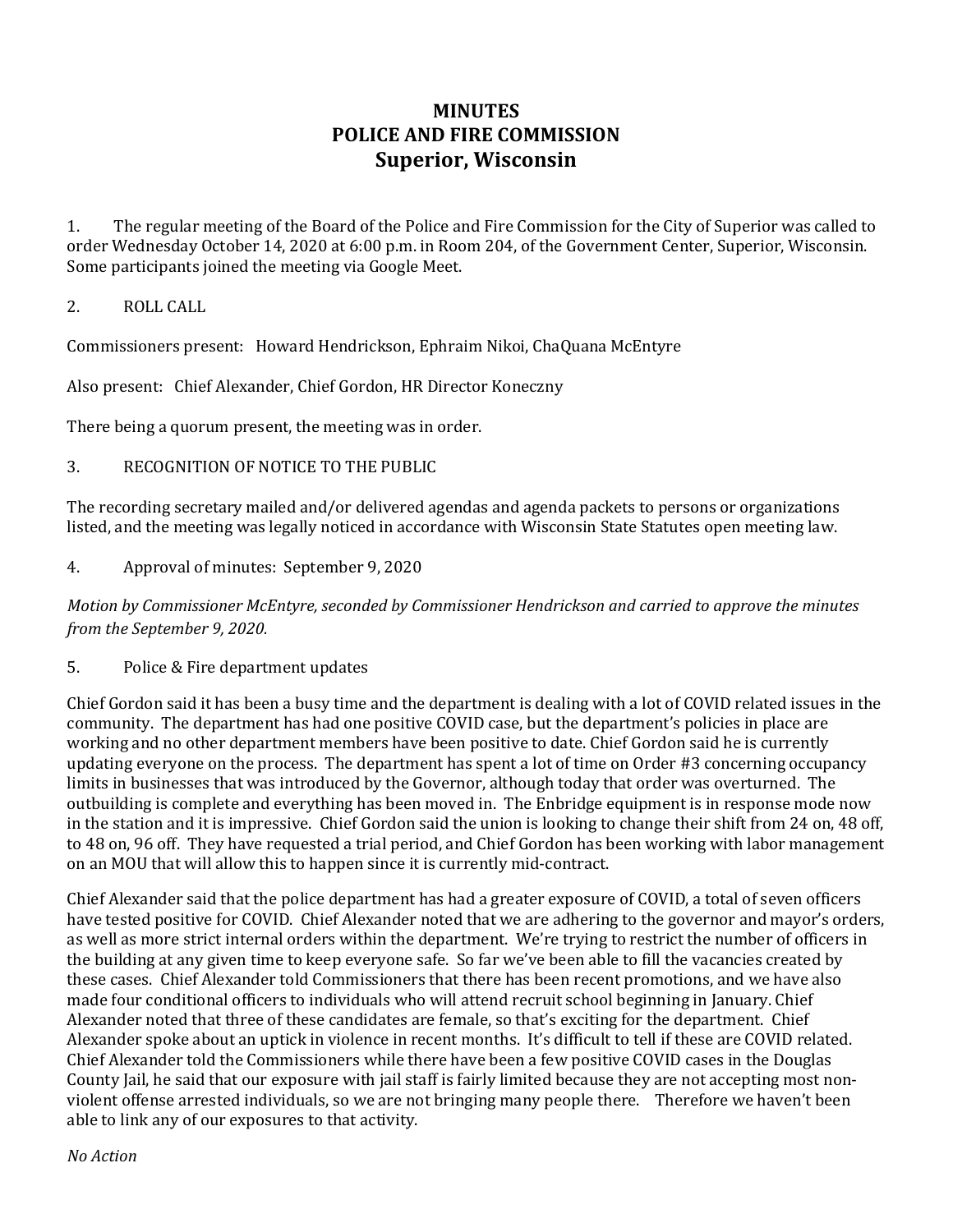## **MINUTES POLICE AND FIRE COMMISSION Superior, Wisconsin**

1. The regular meeting of the Board of the Police and Fire Commission for the City of Superior was called to order Wednesday October 14, 2020 at 6:00 p.m. in Room 204, of the Government Center, Superior, Wisconsin. Some participants joined the meeting via Google Meet.

## 2. ROLL CALL

Commissioners present: Howard Hendrickson, Ephraim Nikoi, ChaQuana McEntyre

Also present: Chief Alexander, Chief Gordon, HR Director Koneczny

There being a quorum present, the meeting was in order.

## 3. RECOGNITION OF NOTICE TO THE PUBLIC

The recording secretary mailed and/or delivered agendas and agenda packets to persons or organizations listed, and the meeting was legally noticed in accordance with Wisconsin State Statutes open meeting law.

4. Approval of minutes: September 9, 2020

*Motion by Commissioner McEntyre, seconded by Commissioner Hendrickson and carried to approve the minutes from the September 9, 2020.*

5. Police & Fire department updates

Chief Gordon said it has been a busy time and the department is dealing with a lot of COVID related issues in the community. The department has had one positive COVID case, but the department's policies in place are working and no other department members have been positive to date. Chief Gordon said he is currently updating everyone on the process. The department has spent a lot of time on Order #3 concerning occupancy limits in businesses that was introduced by the Governor, although today that order was overturned. The outbuilding is complete and everything has been moved in. The Enbridge equipment is in response mode now in the station and it is impressive. Chief Gordon said the union is looking to change their shift from 24 on, 48 off, to 48 on, 96 off. They have requested a trial period, and Chief Gordon has been working with labor management on an MOU that will allow this to happen since it is currently mid-contract.

Chief Alexander said that the police department has had a greater exposure of COVID, a total of seven officers have tested positive for COVID. Chief Alexander noted that we are adhering to the governor and mayor's orders, as well as more strict internal orders within the department. We're trying to restrict the number of officers in the building at any given time to keep everyone safe. So far we've been able to fill the vacancies created by these cases. Chief Alexander told Commissioners that there has been recent promotions, and we have also made four conditional officers to individuals who will attend recruit school beginning in January. Chief Alexander noted that three of these candidates are female, so that's exciting for the department. Chief Alexander spoke about an uptick in violence in recent months. It's difficult to tell if these are COVID related. Chief Alexander told the Commissioners while there have been a few positive COVID cases in the Douglas County Jail, he said that our exposure with jail staff is fairly limited because they are not accepting most nonviolent offense arrested individuals, so we are not bringing many people there. Therefore we haven't been able to link any of our exposures to that activity.